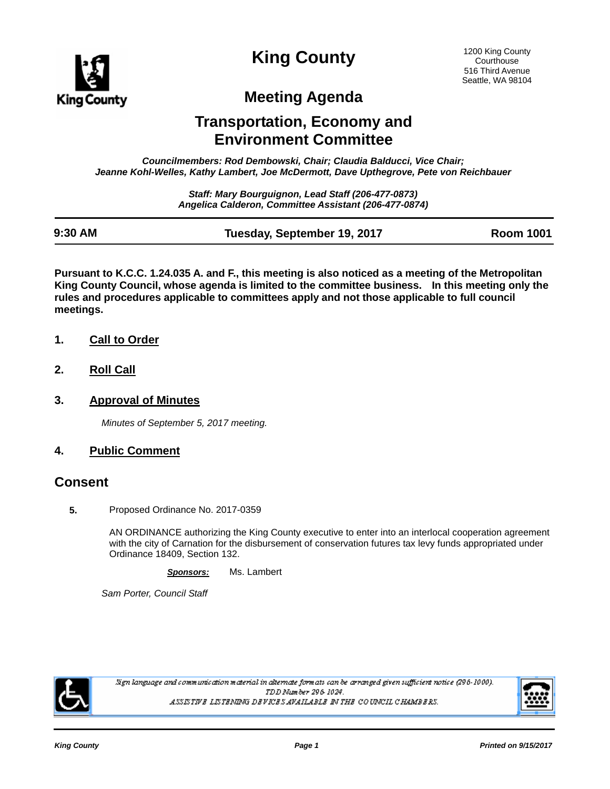

**King County**

# **Meeting Agenda**

## **Transportation, Economy and Environment Committee**

*Councilmembers: Rod Dembowski, Chair; Claudia Balducci, Vice Chair; Jeanne Kohl-Welles, Kathy Lambert, Joe McDermott, Dave Upthegrove, Pete von Reichbauer*

> *Staff: Mary Bourguignon, Lead Staff (206-477-0873) Angelica Calderon, Committee Assistant (206-477-0874)*

| 9:30 AM | Tuesday, September 19, 2017 | <b>Room 1001</b> |
|---------|-----------------------------|------------------|
|         |                             |                  |

**Pursuant to K.C.C. 1.24.035 A. and F., this meeting is also noticed as a meeting of the Metropolitan King County Council, whose agenda is limited to the committee business. In this meeting only the rules and procedures applicable to committees apply and not those applicable to full council meetings.**

- **1. Call to Order**
- **2. Roll Call**
- **3. Approval of Minutes**

*Minutes of September 5, 2017 meeting.*

#### **4. Public Comment**

#### **Consent**

**5.** Proposed Ordinance No. 2017-0359

AN ORDINANCE authorizing the King County executive to enter into an interlocal cooperation agreement with the city of Carnation for the disbursement of conservation futures tax levy funds appropriated under Ordinance 18409, Section 132.

*Sponsors:* Ms. Lambert

*Sam Porter, Council Staff*



.<br>Sign language and communication material in alternate formats can be arranged given sufficient notice (296-1000). TDD Number 296-1024. ASSISTIVE LISTENING DEVICES AVAILABLE IN THE COUNCIL CHAMBERS.

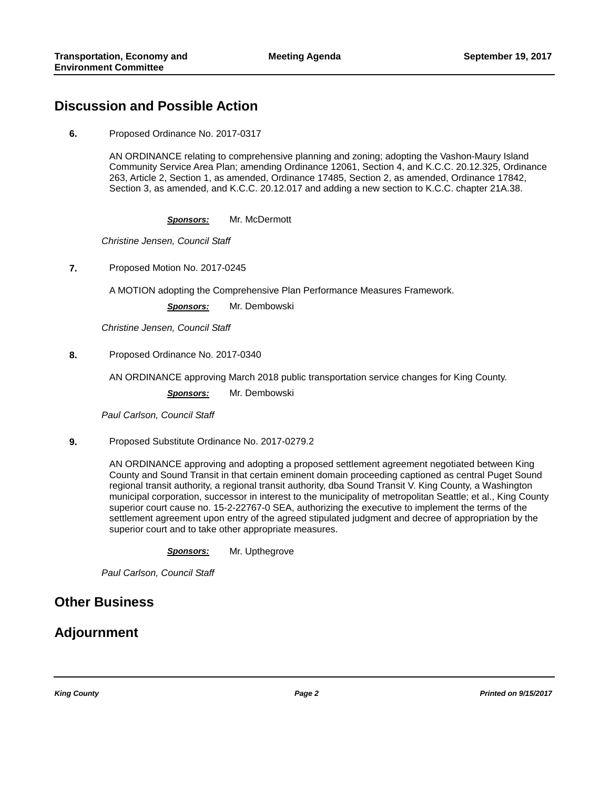### **Discussion and Possible Action**

**6.** Proposed Ordinance No. 2017-0317

AN ORDINANCE relating to comprehensive planning and zoning; adopting the Vashon-Maury Island Community Service Area Plan; amending Ordinance 12061, Section 4, and K.C.C. 20.12.325, Ordinance 263, Article 2, Section 1, as amended, Ordinance 17485, Section 2, as amended, Ordinance 17842, Section 3, as amended, and K.C.C. 20.12.017 and adding a new section to K.C.C. chapter 21A.38.

*Sponsors:* Mr. McDermott

*Christine Jensen, Council Staff*

**7.** Proposed Motion No. 2017-0245

A MOTION adopting the Comprehensive Plan Performance Measures Framework.

*Sponsors:* Mr. Dembowski

*Christine Jensen, Council Staff*

**8.** Proposed Ordinance No. 2017-0340

AN ORDINANCE approving March 2018 public transportation service changes for King County.

*Sponsors:* Mr. Dembowski

*Paul Carlson, Council Staff*

**9.** Proposed Substitute Ordinance No. 2017-0279.2

AN ORDINANCE approving and adopting a proposed settlement agreement negotiated between King County and Sound Transit in that certain eminent domain proceeding captioned as central Puget Sound regional transit authority, a regional transit authority, dba Sound Transit V. King County, a Washington municipal corporation, successor in interest to the municipality of metropolitan Seattle; et al., King County superior court cause no. 15-2-22767-0 SEA, authorizing the executive to implement the terms of the settlement agreement upon entry of the agreed stipulated judgment and decree of appropriation by the superior court and to take other appropriate measures.

*Sponsors:* Mr. Upthegrove

*Paul Carlson, Council Staff*

#### **Other Business**

### **Adjournment**